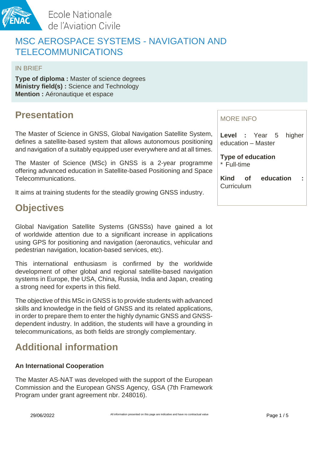

# MSC AEROSPACE SYSTEMS - NAVIGATION AND TELECOMMUNICATIONS

IN BRIEF

**Type of diploma :** Master of science degrees **Ministry field(s) :** Science and Technology **Mention :** Aéronautique et espace

# **Presentation**

The Master of Science in GNSS, Global Navigation Satellite System, defines a satellite-based system that allows autonomous positioning and navigation of a suitably equipped user everywhere and at all times.

The Master of Science (MSc) in GNSS is a 2-year programme offering advanced education in Satellite-based Positioning and Space Telecommunications.

It aims at training students for the steadily growing GNSS industry.

# **Objectives**

Global Navigation Satellite Systems (GNSSs) have gained a lot of worldwide attention due to a significant increase in applications using GPS for positioning and navigation (aeronautics, vehicular and pedestrian navigation, location-based services, etc).

This international enthusiasm is confirmed by the worldwide development of other global and regional satellite-based navigation systems in Europe, the USA, China, Russia, India and Japan, creating a strong need for experts in this field.

The objective of this MSc in GNSS is to provide students with advanced skills and knowledge in the field of GNSS and its related applications, in order to prepare them to enter the highly dynamic GNSS and GNSSdependent industry. In addition, the students will have a grounding in telecommunications, as both fields are strongly complementary.

## **Additional information**

#### **An International Cooperation**

The Master AS-NAT was developed with the support of the European Commission and the European GNSS Agency, GSA (7th Framework Program under grant agreement nbr. 248016).

#### MORE INFO

**Level :** Year 5 higher education – Master

**Type of education** \* Full-time

**Kind of education :** Curriculum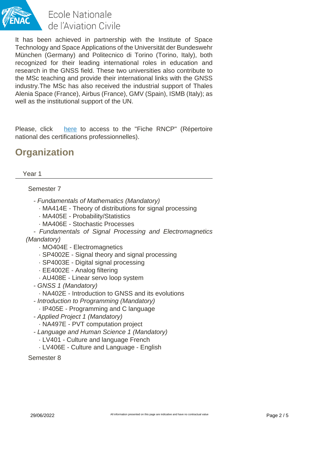

It has been achieved in partnership with the Institute of Space Technology and Space Applications of the Universität der Bundeswehr München (Germany) and Politecnico di Torino (Torino, Italy), both recognized for their leading international roles in education and research in the GNSS field. These two universities also contribute to the MSc teaching and provide their international links with the GNSS industry.The MSc has also received the industrial support of Thales Alenia Space (France), Airbus (France), GMV (Spain), ISMB (Italy); as well as the institutional support of the UN.

Please, click [here](http://formations.enac.fr/_resources/Fiches%2520RNCP/Fiche%2520RNCP%2520parcours%2520type%2520AS-NAT_V0_20160509.pdf?download=true) to access to the "Fiche RNCP" (Répertoire national des certifications professionnelles).

## **Organization**

#### Year 1

#### Semester 7

- Fundamentals of Mathematics (Mandatory)
	- · MA414E Theory of distributions for signal processing
	- · MA405E Probability/Statistics
	- · MA406E Stochastic Processes

- Fundamentals of Signal Processing and Electromagnetics

#### (Mandatory)

- · MO404E Electromagnetics
- · SP4002E Signal theory and signal processing
- · SP4003E Digital signal processing
- · EE4002E Analog filtering
- · AU408E Linear servo loop system
- GNSS 1 (Mandatory)
	- · NA402E Introduction to GNSS and its evolutions
- Introduction to Programming (Mandatory) · IP405E - Programming and C language
- 
- Applied Project 1 (Mandatory)
	- · NA497E PVT computation project
- Language and Human Science 1 (Mandatory)
	- · LV401 Culture and language French
	- · LV406E Culture and Language English

Semester 8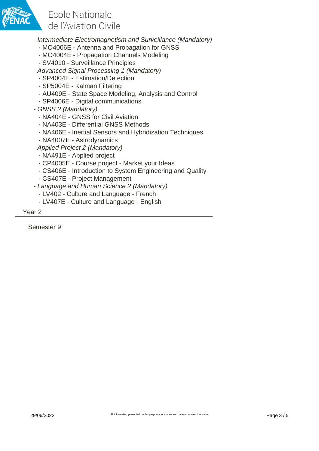

- Intermediate Electromagnetism and Surveillance (Mandatory)
	- · MO4006E Antenna and Propagation for GNSS
	- · MO4004E Propagation Channels Modeling
	- · SV4010 Surveillance Principles
- Advanced Signal Processing 1 (Mandatory)
	- · SP4004E Estimation/Detection
	- · SP5004E Kalman Filtering
	- · AU409E State Space Modeling, Analysis and Control
	- · SP4006E Digital communications
- GNSS 2 (Mandatory)
	- · NA404E GNSS for Civil Aviation
	- · NA403E Differential GNSS Methods
	- · NA406E Inertial Sensors and Hybridization Techniques
	- · NA4007E Astrodynamics
- Applied Project 2 (Mandatory)
	- · NA491E Applied project
	- · CP4005E Course project Market your Ideas
	- · CS406E Introduction to System Engineering and Quality
	- · CS407E Project Management
- Language and Human Science 2 (Mandatory)
	- · LV402 Culture and Language French
	- · LV407E Culture and Language English

Year 2

Semester 9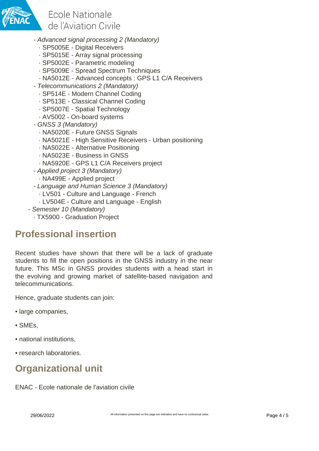

- Advanced signal processing 2 (Mandatory)
	- · SP5005E Digital Receivers
	- · SP5015E Array signal processing
	- · SP5002E Parametric modeling
	- · SP5009E Spread Spectrum Techniques
	- · NA5012E Advanced concepts : GPS L1 C/A Receivers
- Telecommunications 2 (Mandatory)
	- · SP514E Modern Channel Coding
	- · SP513E Classical Channel Coding
	- · SP5007E Spatial Technology
	- · AV5002 On-board systems
- GNSS 3 (Mandatory)
	- · NA5020E Future GNSS Signals
	- · NA5021E High Sensitive Receivers Urban positioning
	- · NA5022E Alternative Positioning
	- · NA5023E Business in GNSS
	- · NA5920E GPS L1 C/A Receivers project
- Applied project 3 (Mandatory)
	- · NA499E Applied project
- Language and Human Science 3 (Mandatory)
	- · LV501 Culture and Language French
	- · LV504E Culture and Language English
- Semester 10 (Mandatory)
	- · TX5900 Graduation Project

### **Professional insertion**

Recent studies have shown that there will be a lack of graduate students to fill the open positions in the GNSS industry in the near future. This MSc in GNSS provides students with a head start in the evolving and growing market of satellite-based navigation and telecommunications.

Hence, graduate students can join:

- large companies,
- SMEs,
- national institutions,
- research laboratories.

## **Organizational unit**

ENAC - Ecole nationale de l'aviation civile